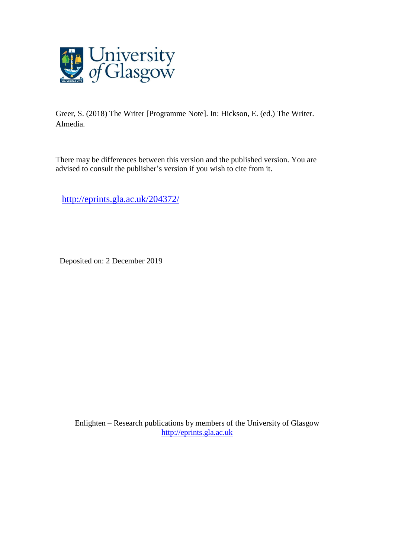

Greer, S. (2018) The Writer [Programme Note]. In: Hickson, E. (ed.) The Writer. Almedia.

There may be differences between this version and the published version. You are advised to consult the publisher's version if you wish to cite from it.

<http://eprints.gla.ac.uk/204372/>

Deposited on: 2 December 2019

Enlighten – Research publications by members of the University of Glasgow [http://eprints.gla.ac.uk](http://eprints.gla.ac.uk/)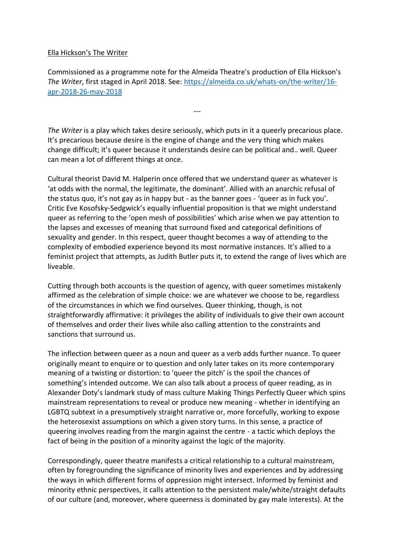## Ella Hickson's The Writer

Commissioned as a programme note for the Almeida Theatre's production of Ella Hickson's *The Writer*, first staged in April 2018. See[: https://almeida.co.uk/whats-on/the-writer/16](https://almeida.co.uk/whats-on/the-writer/16-apr-2018-26-may-2018) [apr-2018-26-may-2018](https://almeida.co.uk/whats-on/the-writer/16-apr-2018-26-may-2018)

---

*The Writer* is a play which takes desire seriously, which puts in it a queerly precarious place. It's precarious because desire is the engine of change and the very thing which makes change difficult; it's queer because it understands desire can be political and.. well. Queer can mean a lot of different things at once.

Cultural theorist David M. Halperin once offered that we understand queer as whatever is 'at odds with the normal, the legitimate, the dominant'. Allied with an anarchic refusal of the status quo, it's not gay as in happy but - as the banner goes - 'queer as in fuck you'. Critic Eve Kosofsky-Sedgwick's equally influential proposition is that we might understand queer as referring to the 'open mesh of possibilities' which arise when we pay attention to the lapses and excesses of meaning that surround fixed and categorical definitions of sexuality and gender. In this respect, queer thought becomes a way of attending to the complexity of embodied experience beyond its most normative instances. It's allied to a feminist project that attempts, as Judith Butler puts it, to extend the range of lives which are liveable.

Cutting through both accounts is the question of agency, with queer sometimes mistakenly affirmed as the celebration of simple choice: we are whatever we choose to be, regardless of the circumstances in which we find ourselves. Queer thinking, though, is not straightforwardly affirmative: it privileges the ability of individuals to give their own account of themselves and order their lives while also calling attention to the constraints and sanctions that surround us.

The inflection between queer as a noun and queer as a verb adds further nuance. To queer originally meant to enquire or to question and only later takes on its more contemporary meaning of a twisting or distortion: to 'queer the pitch' is the spoil the chances of something's intended outcome. We can also talk about a process of queer reading, as in Alexander Doty's landmark study of mass culture Making Things Perfectly Queer which spins mainstream representations to reveal or produce new meaning - whether in identifying an LGBTQ subtext in a presumptively straight narrative or, more forcefully, working to expose the heterosexist assumptions on which a given story turns. In this sense, a practice of queering involves reading from the margin against the centre - a tactic which deploys the fact of being in the position of a minority against the logic of the majority.

Correspondingly, queer theatre manifests a critical relationship to a cultural mainstream, often by foregrounding the significance of minority lives and experiences and by addressing the ways in which different forms of oppression might intersect. Informed by feminist and minority ethnic perspectives, it calls attention to the persistent male/white/straight defaults of our culture (and, moreover, where queerness is dominated by gay male interests). At the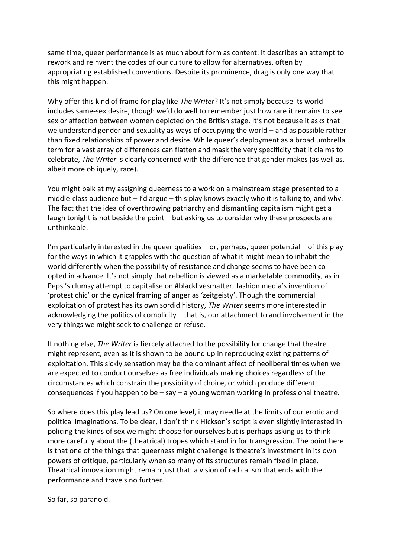same time, queer performance is as much about form as content: it describes an attempt to rework and reinvent the codes of our culture to allow for alternatives, often by appropriating established conventions. Despite its prominence, drag is only one way that this might happen.

Why offer this kind of frame for play like *The Writer*? It's not simply because its world includes same-sex desire, though we'd do well to remember just how rare it remains to see sex or affection between women depicted on the British stage. It's not because it asks that we understand gender and sexuality as ways of occupying the world – and as possible rather than fixed relationships of power and desire. While queer's deployment as a broad umbrella term for a vast array of differences can flatten and mask the very specificity that it claims to celebrate, *The Writer* is clearly concerned with the difference that gender makes (as well as, albeit more obliquely, race).

You might balk at my assigning queerness to a work on a mainstream stage presented to a middle-class audience but – I'd argue – this play knows exactly who it is talking to, and why. The fact that the idea of overthrowing patriarchy and dismantling capitalism might get a laugh tonight is not beside the point – but asking us to consider why these prospects are unthinkable.

I'm particularly interested in the queer qualities  $-$  or, perhaps, queer potential  $-$  of this play for the ways in which it grapples with the question of what it might mean to inhabit the world differently when the possibility of resistance and change seems to have been coopted in advance. It's not simply that rebellion is viewed as a marketable commodity, as in Pepsi's clumsy attempt to capitalise on #blacklivesmatter, fashion media's invention of 'protest chic' or the cynical framing of anger as 'zeitgeisty'. Though the commercial exploitation of protest has its own sordid history, *The Writer* seems more interested in acknowledging the politics of complicity – that is, our attachment to and involvement in the very things we might seek to challenge or refuse.

If nothing else, *The Writer* is fiercely attached to the possibility for change that theatre might represent, even as it is shown to be bound up in reproducing existing patterns of exploitation. This sickly sensation may be the dominant affect of neoliberal times when we are expected to conduct ourselves as free individuals making choices regardless of the circumstances which constrain the possibility of choice, or which produce different consequences if you happen to be  $-$  say  $-$  a young woman working in professional theatre.

So where does this play lead us? On one level, it may needle at the limits of our erotic and political imaginations. To be clear, I don't think Hickson's script is even slightly interested in policing the kinds of sex we might choose for ourselves but is perhaps asking us to think more carefully about the (theatrical) tropes which stand in for transgression. The point here is that one of the things that queerness might challenge is theatre's investment in its own powers of critique, particularly when so many of its structures remain fixed in place. Theatrical innovation might remain just that: a vision of radicalism that ends with the performance and travels no further.

So far, so paranoid.